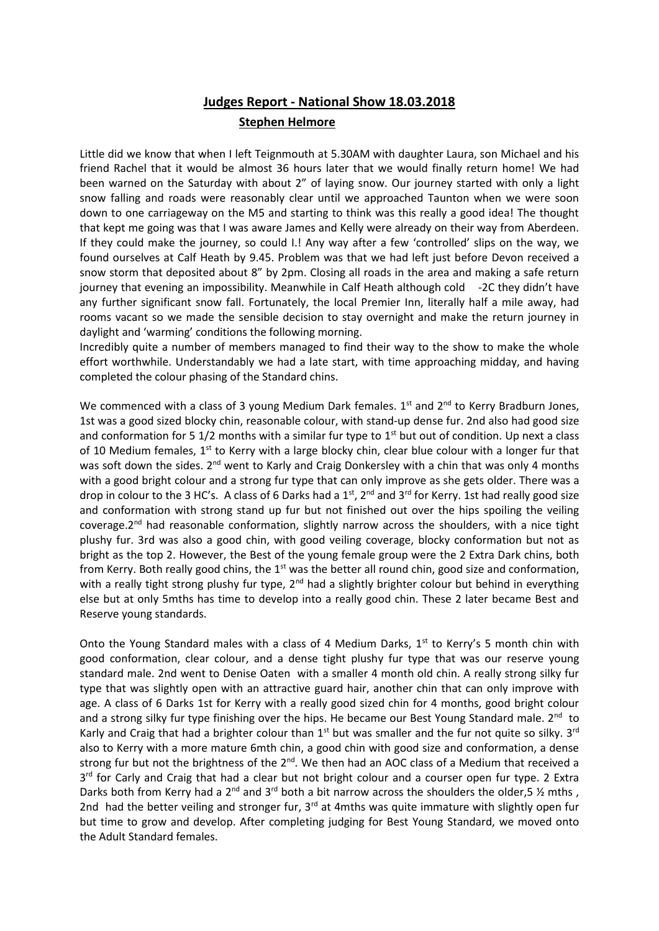## **Judges Report - National Show 18.03.2018 Stephen Helmore**

Little did we know that when I left Teignmouth at 5.30AM with daughter Laura, son Michael and his friend Rachel that it would be almost 36 hours later that we would finally return home! We had been warned on the Saturday with about 2" of laying snow. Our journey started with only a light snow falling and roads were reasonably clear until we approached Taunton when we were soon down to one carriageway on the M5 and starting to think was this really a good idea! The thought that kept me going was that I was aware James and Kelly were already on their way from Aberdeen. If they could make the journey, so could I.! Any way after a few 'controlled' slips on the way, we found ourselves at Calf Heath by 9.45. Problem was that we had left just before Devon received a snow storm that deposited about 8" by 2pm. Closing all roads in the area and making a safe return journey that evening an impossibility. Meanwhile in Calf Heath although cold -2C they didn't have any further significant snow fall. Fortunately, the local Premier Inn, literally half a mile away, had rooms vacant so we made the sensible decision to stay overnight and make the return journey in daylight and 'warming' conditions the following morning.

Incredibly quite a number of members managed to find their way to the show to make the whole effort worthwhile. Understandably we had a late start, with time approaching midday, and having completed the colour phasing of the Standard chins.

We commenced with a class of 3 young Medium Dark females.  $1<sup>st</sup>$  and  $2<sup>nd</sup>$  to Kerry Bradburn Jones, 1st was a good sized blocky chin, reasonable colour, with stand-up dense fur. 2nd also had good size and conformation for 5 1/2 months with a similar fur type to  $1<sup>st</sup>$  but out of condition. Up next a class of 10 Medium females, 1<sup>st</sup> to Kerry with a large blocky chin, clear blue colour with a longer fur that was soft down the sides. 2<sup>nd</sup> went to Karly and Craig Donkersley with a chin that was only 4 months with a good bright colour and a strong fur type that can only improve as she gets older. There was a drop in colour to the 3 HC's. A class of 6 Darks had a 1<sup>st</sup>, 2<sup>nd</sup> and 3<sup>rd</sup> for Kerry. 1st had really good size and conformation with strong stand up fur but not finished out over the hips spoiling the veiling coverage. $2<sup>nd</sup>$  had reasonable conformation, slightly narrow across the shoulders, with a nice tight plushy fur. 3rd was also a good chin, with good veiling coverage, blocky conformation but not as bright as the top 2. However, the Best of the young female group were the 2 Extra Dark chins, both from Kerry. Both really good chins, the 1<sup>st</sup> was the better all round chin, good size and conformation, with a really tight strong plushy fur type, 2<sup>nd</sup> had a slightly brighter colour but behind in everything else but at only 5mths has time to develop into a really good chin. These 2 later became Best and Reserve young standards.

Onto the Young Standard males with a class of 4 Medium Darks,  $1<sup>st</sup>$  to Kerry's 5 month chin with good conformation, clear colour, and a dense tight plushy fur type that was our reserve young standard male. 2nd went to Denise Oaten with a smaller 4 month old chin. A really strong silky fur type that was slightly open with an attractive guard hair, another chin that can only improve with age. A class of 6 Darks 1st for Kerry with a really good sized chin for 4 months, good bright colour and a strong silky fur type finishing over the hips. He became our Best Young Standard male. 2<sup>nd</sup> to Karly and Craig that had a brighter colour than  $1^{st}$  but was smaller and the fur not quite so silky.  $3^{rd}$ also to Kerry with a more mature 6mth chin, a good chin with good size and conformation, a dense strong fur but not the brightness of the 2<sup>nd</sup>. We then had an AOC class of a Medium that received a 3rd for Carly and Craig that had a clear but not bright colour and a courser open fur type. 2 Extra Darks both from Kerry had a  $2^{nd}$  and  $3^{rd}$  both a bit narrow across the shoulders the older,5  $\frac{1}{2}$  mths, 2nd had the better veiling and stronger fur, 3<sup>rd</sup> at 4mths was quite immature with slightly open fur but time to grow and develop. After completing judging for Best Young Standard, we moved onto the Adult Standard females.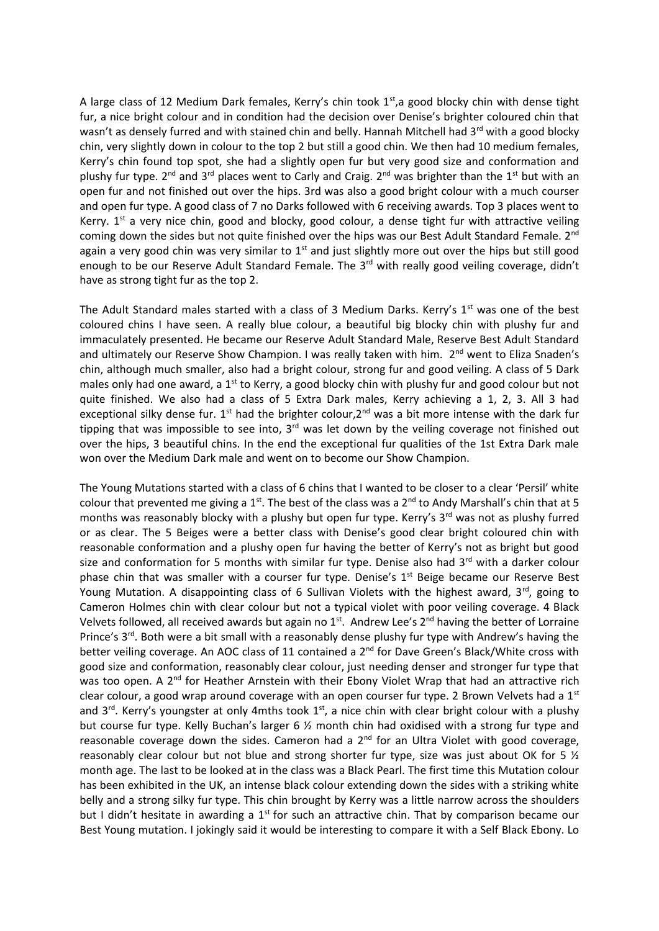A large class of 12 Medium Dark females, Kerry's chin took  $1<sup>st</sup>$ , a good blocky chin with dense tight fur, a nice bright colour and in condition had the decision over Denise's brighter coloured chin that wasn't as densely furred and with stained chin and belly. Hannah Mitchell had 3<sup>rd</sup> with a good blocky chin, very slightly down in colour to the top 2 but still a good chin. We then had 10 medium females, Kerry's chin found top spot, she had a slightly open fur but very good size and conformation and plushy fur type.  $2^{nd}$  and  $3^{rd}$  places went to Carly and Craig.  $2^{nd}$  was brighter than the  $1^{st}$  but with an open fur and not finished out over the hips. 3rd was also a good bright colour with a much courser and open fur type. A good class of 7 no Darks followed with 6 receiving awards. Top 3 places went to Kerry.  $1^{st}$  a very nice chin, good and blocky, good colour, a dense tight fur with attractive veiling coming down the sides but not quite finished over the hips was our Best Adult Standard Female. 2<sup>nd</sup> again a very good chin was very similar to  $1<sup>st</sup>$  and just slightly more out over the hips but still good enough to be our Reserve Adult Standard Female. The 3<sup>rd</sup> with really good veiling coverage, didn't have as strong tight fur as the top 2.

The Adult Standard males started with a class of 3 Medium Darks. Kerry's 1<sup>st</sup> was one of the best coloured chins I have seen. A really blue colour, a beautiful big blocky chin with plushy fur and immaculately presented. He became our Reserve Adult Standard Male, Reserve Best Adult Standard and ultimately our Reserve Show Champion. I was really taken with him. 2<sup>nd</sup> went to Eliza Snaden's chin, although much smaller, also had a bright colour, strong fur and good veiling. A class of 5 Dark males only had one award, a  $1<sup>st</sup>$  to Kerry, a good blocky chin with plushy fur and good colour but not quite finished. We also had a class of 5 Extra Dark males, Kerry achieving a 1, 2, 3. All 3 had exceptional silky dense fur.  $1^{st}$  had the brighter colour, $2^{nd}$  was a bit more intense with the dark fur tipping that was impossible to see into,  $3<sup>rd</sup>$  was let down by the veiling coverage not finished out over the hips, 3 beautiful chins. In the end the exceptional fur qualities of the 1st Extra Dark male won over the Medium Dark male and went on to become our Show Champion.

The Young Mutations started with a class of 6 chins that I wanted to be closer to a clear 'Persil' white colour that prevented me giving a 1<sup>st</sup>. The best of the class was a  $2^{nd}$  to Andy Marshall's chin that at 5 months was reasonably blocky with a plushy but open fur type. Kerry's 3<sup>rd</sup> was not as plushy furred or as clear. The 5 Beiges were a better class with Denise's good clear bright coloured chin with reasonable conformation and a plushy open fur having the better of Kerry's not as bright but good size and conformation for 5 months with similar fur type. Denise also had  $3<sup>rd</sup>$  with a darker colour phase chin that was smaller with a courser fur type. Denise's 1<sup>st</sup> Beige became our Reserve Best Young Mutation. A disappointing class of 6 Sullivan Violets with the highest award,  $3^{rd}$ , going to Cameron Holmes chin with clear colour but not a typical violet with poor veiling coverage. 4 Black Velvets followed, all received awards but again no  $1<sup>st</sup>$ . Andrew Lee's  $2<sup>nd</sup>$  having the better of Lorraine Prince's 3<sup>rd</sup>. Both were a bit small with a reasonably dense plushy fur type with Andrew's having the better veiling coverage. An AOC class of 11 contained a 2<sup>nd</sup> for Dave Green's Black/White cross with good size and conformation, reasonably clear colour, just needing denser and stronger fur type that was too open. A 2<sup>nd</sup> for Heather Arnstein with their Ebony Violet Wrap that had an attractive rich clear colour, a good wrap around coverage with an open courser fur type. 2 Brown Velvets had a 1<sup>st</sup> and  $3^{rd}$ . Kerry's youngster at only 4mths took  $1^{st}$ , a nice chin with clear bright colour with a plushy but course fur type. Kelly Buchan's larger 6 ½ month chin had oxidised with a strong fur type and reasonable coverage down the sides. Cameron had a  $2<sup>nd</sup>$  for an Ultra Violet with good coverage, reasonably clear colour but not blue and strong shorter fur type, size was just about OK for 5  $\frac{1}{2}$ month age. The last to be looked at in the class was a Black Pearl. The first time this Mutation colour has been exhibited in the UK, an intense black colour extending down the sides with a striking white belly and a strong silky fur type. This chin brought by Kerry was a little narrow across the shoulders but I didn't hesitate in awarding a 1<sup>st</sup> for such an attractive chin. That by comparison became our Best Young mutation. I jokingly said it would be interesting to compare it with a Self Black Ebony. Lo